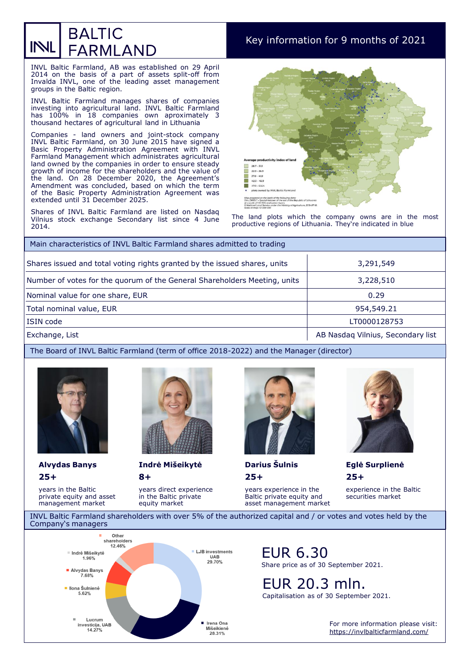### **BALTIC** INL **FARMLAND**

## Key information for 9 months of 2021

INVL Baltic Farmland, AB was established on 29 April 2014 on the basis of a part of assets split-off from Invalda INVL, one of the leading asset management groups in the Baltic region.

INVL Baltic Farmland manages shares of companies investing into agricultural land. INVL Baltic Farmland has 100% in 18 companies own aproximately 3 thousand hectares of agricultural land in Lithuania

Companies - land owners and joint-stock company INVL Baltic Farmland, on 30 June 2015 have signed a Basic Property Administration Agreement with INVL Farmland Management which administrates agricultural land owned by the companies in order to ensure steady growth of income for the shareholders and the value of the land. On 28 December 2020, the Agreement's Amendment was concluded, based on which the term of the Basic Property Administration Agreement was extended until 31 December 2025.

Shares of INVL Baltic Farmland are listed on Nasdaq Vilnius stock exchange Secondary list since 4 June 2014.



The land plots which the company owns are in the most productive regions of Lithuania. They're indicated in blue

| Main characteristics of INVL Baltic Farmland shares admitted to trading   |                                   |  |
|---------------------------------------------------------------------------|-----------------------------------|--|
| Shares issued and total voting rights granted by the issued shares, units | 3,291,549                         |  |
| Number of votes for the quorum of the General Shareholders Meeting, units | 3,228,510                         |  |
| Nominal value for one share, EUR                                          | 0.29                              |  |
| Total nominal value, EUR                                                  | 954,549.21                        |  |
| ISIN code                                                                 | LT0000128753                      |  |
| Exchange, List                                                            | AB Nasdag Vilnius, Secondary list |  |

#### The Board of INVL Baltic Farmland (term of office 2018-2022) and the Manager (director)



years in the Baltic private equity and asset management market

**25+** 



**8+** 

years direct experience in the Baltic private equity market



**Alvydas Banys Indrė Mišeikytė Darius Šulnis Eglė Surplienė**

**25+** 

years experience in the Baltic private equity and asset management market



**25+**  experience in the Baltic

securities market

INVL Baltic Farmland shareholders with over 5% of the authorized capital and / or votes and votes held by the Company's managers



EUR 6.30 Share price as of 30 September 2021.

EUR 20.3 mln. Capitalisation as of 30 September 2021.

> For more information please visit: <https://invlbalticfarmland.com/>